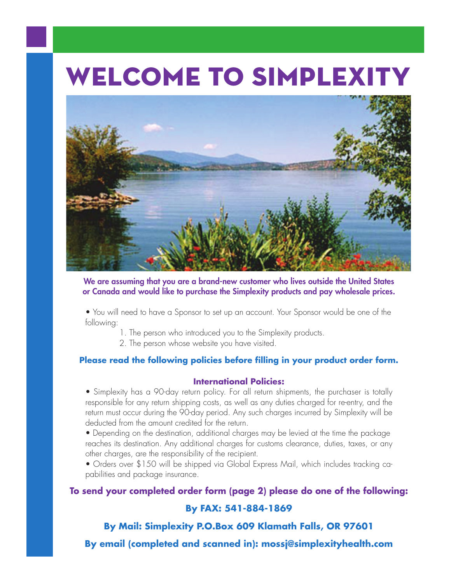# **Welcome to Simplexity**



**We are assuming that you are a brand-new customer who lives outside the United States or Canada and would like to purchase the Simplexity products and pay wholesale prices.**

• You will need to have a Sponsor to set up an account. Your Sponsor would be one of the following:

- 1. The person who introduced you to the Simplexity products.
- 2. The person whose website you have visited.

### **Please read the following policies before filling in your product order form.**

### **International Policies:**

• Simplexity has a 90-day return policy. For all return shipments, the purchaser is totally responsible for any return shipping costs, as well as any duties charged for re-entry, and the return must occur during the 90-day period. Any such charges incurred by Simplexity will be deducted from the amount credited for the return.

• Depending on the destination, additional charges may be levied at the time the package reaches its destination. Any additional charges for customs clearance, duties, taxes, or any other charges, are the responsibility of the recipient.

• Orders over \$150 will be shipped via Global Express Mail, which includes tracking capabilities and package insurance.

# **To send your completed order form (page 2) please do one of the following:**

#### **By FAX: 541-884-1869**

**By Mail: Simplexity P.O.Box 609 Klamath Falls, OR 97601**

**By email (completed and scanned in): mossj@simplexityhealth.com**